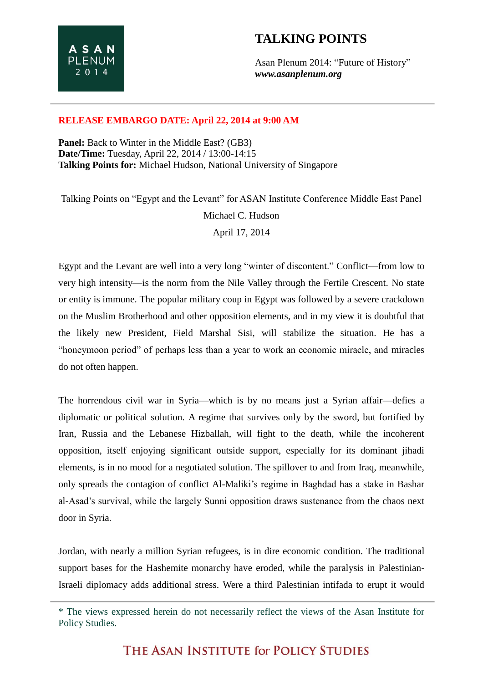## **TALKING POINTS**

Asan Plenum 2014: "Future of History" *www.asanplenum.org*

## **RELEASE EMBARGO DATE: April 22, 2014 at 9:00 AM**

**Panel:** Back to Winter in the Middle East? (GB3) **Date/Time:** Tuesday, April 22, 2014 / 13:00-14:15 **Talking Points for:** Michael Hudson, National University of Singapore

Talking Points on "Egypt and the Levant" for ASAN Institute Conference Middle East Panel Michael C. Hudson April 17, 2014

Egypt and the Levant are well into a very long "winter of discontent." Conflict—from low to very high intensity—is the norm from the Nile Valley through the Fertile Crescent. No state or entity is immune. The popular military coup in Egypt was followed by a severe crackdown on the Muslim Brotherhood and other opposition elements, and in my view it is doubtful that the likely new President, Field Marshal Sisi, will stabilize the situation. He has a "honeymoon period" of perhaps less than a year to work an economic miracle, and miracles do not often happen.

The horrendous civil war in Syria—which is by no means just a Syrian affair—defies a diplomatic or political solution. A regime that survives only by the sword, but fortified by Iran, Russia and the Lebanese Hizballah, will fight to the death, while the incoherent opposition, itself enjoying significant outside support, especially for its dominant jihadi elements, is in no mood for a negotiated solution. The spillover to and from Iraq, meanwhile, only spreads the contagion of conflict Al-Maliki's regime in Baghdad has a stake in Bashar al-Asad's survival, while the largely Sunni opposition draws sustenance from the chaos next door in Syria.

Jordan, with nearly a million Syrian refugees, is in dire economic condition. The traditional support bases for the Hashemite monarchy have eroded, while the paralysis in Palestinian-Israeli diplomacy adds additional stress. Were a third Palestinian intifada to erupt it would

THE ASAN INSTITUTE for POLICY STUDIES

<sup>\*</sup> The views expressed herein do not necessarily reflect the views of the Asan Institute for Policy Studies.